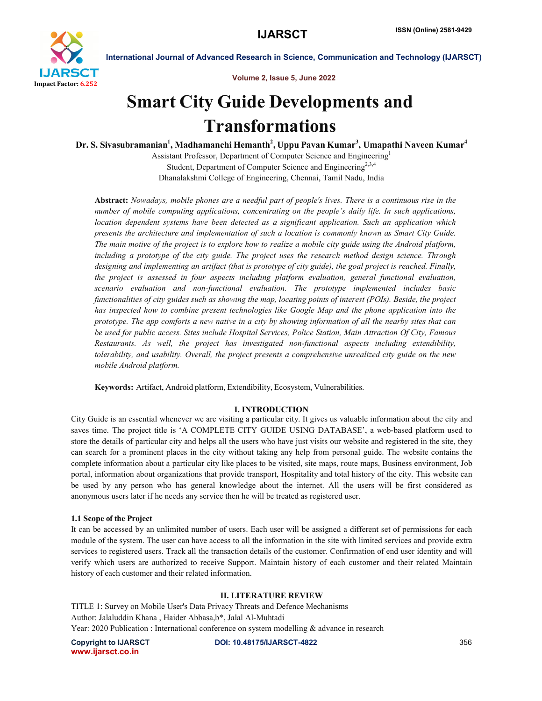

Volume 2, Issue 5, June 2022

# Smart City Guide Developments and Transformations

Dr. S. Sivasubramanian $^{\rm l}$ , Madhamanchi Hemanth $^{\rm 2}$ , Uppu Pavan Kumar $^{\rm 3}$ , Umapathi Naveen Kumar $^{\rm 4}$ 

Assistant Professor, Department of Computer Science and Engineering1 Student, Department of Computer Science and Engineering<sup>2,3,4</sup> Dhanalakshmi College of Engineering, Chennai, Tamil Nadu, India

Abstract: *Nowadays, mobile phones are a needful part of people's lives. There is a continuous rise in the number of mobile computing applications, concentrating on the people's daily life. In such applications, location dependent systems have been detected as a significant application. Such an application which presents the architecture and implementation of such a location is commonly known as Smart City Guide. The main motive of the project is to explore how to realize a mobile city guide using the Android platform, including a prototype of the city guide. The project uses the research method design science. Through designing and implementing an artifact (that is prototype of city guide), the goal project is reached. Finally, the project is assessed in four aspects including platform evaluation, general functional evaluation, scenario evaluation and non-functional evaluation. The prototype implemented includes basic functionalities of city guides such as showing the map, locating points of interest (POIs). Beside, the project has inspected how to combine present technologies like Google Map and the phone application into the prototype. The app comforts a new native in a city by showing information of all the nearby sites that can be used for public access. Sites include Hospital Services, Police Station, Main Attraction Of City, Famous Restaurants. As well, the project has investigated non-functional aspects including extendibility, tolerability, and usability. Overall, the project presents a comprehensive unrealized city guide on the new mobile Android platform.*

Keywords: Artifact, Android platform, Extendibility, Ecosystem, Vulnerabilities.

# I. INTRODUCTION

City Guide is an essential whenever we are visiting a particular city. It gives us valuable information about the city and saves time. The project title is 'A COMPLETE CITY GUIDE USING DATABASE', a web-based platform used to store the details of particular city and helps all the users who have just visits our website and registered in the site, they can search for a prominent places in the city without taking any help from personal guide. The website contains the complete information about a particular city like places to be visited, site maps, route maps, Business environment, Job portal, information about organizations that provide transport, Hospitality and total history of the city. This website can be used by any person who has general knowledge about the internet. All the users will be first considered as anonymous users later if he needs any service then he will be treated as registered user.

# 1.1 Scope of the Project

It can be accessed by an unlimited number of users. Each user will be assigned a different set of permissions for each module of the system. The user can have access to all the information in the site with limited services and provide extra services to registered users. Track all the transaction details of the customer. Confirmation of end user identity and will verify which users are authorized to receive Support. Maintain history of each customer and their related Maintain history of each customer and their related information.

# II. LITERATURE REVIEW

TITLE 1: Survey on Mobile User's Data Privacy Threats and Defence Mechanisms Author: Jalaluddin Khana , Haider Abbasa,b\*, Jalal Al-Muhtadi Year: 2020 Publication : International conference on system modelling & advance in research

www.ijarsct.co.in

Copyright to IJARSCT DOI: 10.48175/IJARSCT-4822 **356**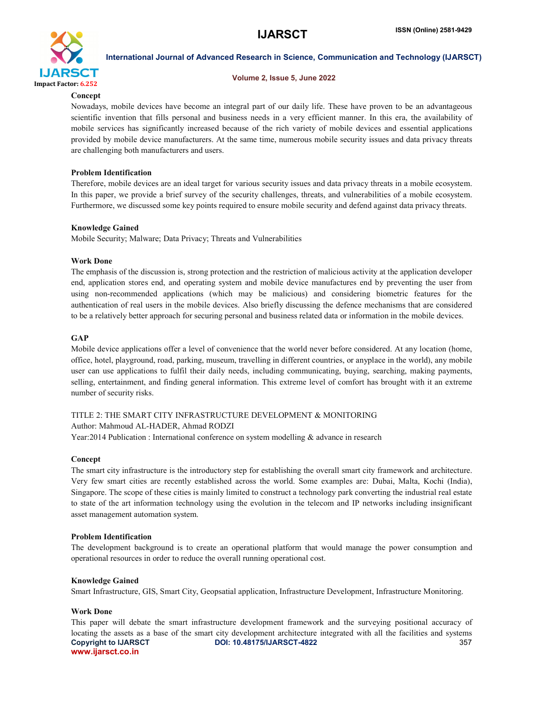

#### Volume 2, Issue 5, June 2022

#### **Concept**

Nowadays, mobile devices have become an integral part of our daily life. These have proven to be an advantageous scientific invention that fills personal and business needs in a very efficient manner. In this era, the availability of mobile services has significantly increased because of the rich variety of mobile devices and essential applications provided by mobile device manufacturers. At the same time, numerous mobile security issues and data privacy threats are challenging both manufacturers and users.

### Problem Identification

Therefore, mobile devices are an ideal target for various security issues and data privacy threats in a mobile ecosystem. In this paper, we provide a brief survey of the security challenges, threats, and vulnerabilities of a mobile ecosystem. Furthermore, we discussed some key points required to ensure mobile security and defend against data privacy threats.

#### Knowledge Gained

Mobile Security; Malware; Data Privacy; Threats and Vulnerabilities

#### Work Done

The emphasis of the discussion is, strong protection and the restriction of malicious activity at the application developer end, application stores end, and operating system and mobile device manufactures end by preventing the user from using non-recommended applications (which may be malicious) and considering biometric features for the authentication of real users in the mobile devices. Also briefly discussing the defence mechanisms that are considered to be a relatively better approach for securing personal and business related data or information in the mobile devices.

#### GAP

Mobile device applications offer a level of convenience that the world never before considered. At any location (home, office, hotel, playground, road, parking, museum, travelling in different countries, or anyplace in the world), any mobile user can use applications to fulfil their daily needs, including communicating, buying, searching, making payments, selling, entertainment, and finding general information. This extreme level of comfort has brought with it an extreme number of security risks.

# TITLE 2: THE SMART CITY INFRASTRUCTURE DEVELOPMENT & MONITORING Author: Mahmoud AL-HADER, Ahmad RODZI

Year:2014 Publication : International conference on system modelling & advance in research

# Concept

The smart city infrastructure is the introductory step for establishing the overall smart city framework and architecture. Very few smart cities are recently established across the world. Some examples are: Dubai, Malta, Kochi (India), Singapore. The scope of these cities is mainly limited to construct a technology park converting the industrial real estate to state of the art information technology using the evolution in the telecom and IP networks including insignificant asset management automation system.

#### Problem Identification

The development background is to create an operational platform that would manage the power consumption and operational resources in order to reduce the overall running operational cost.

#### Knowledge Gained

Smart Infrastructure, GIS, Smart City, Geopsatial application, Infrastructure Development, Infrastructure Monitoring.

# Work Done

Copyright to IJARSCT DOI: 10.48175/IJARSCT-4822 **357** www.ijarsct.co.in This paper will debate the smart infrastructure development framework and the surveying positional accuracy of locating the assets as a base of the smart city development architecture integrated with all the facilities and systems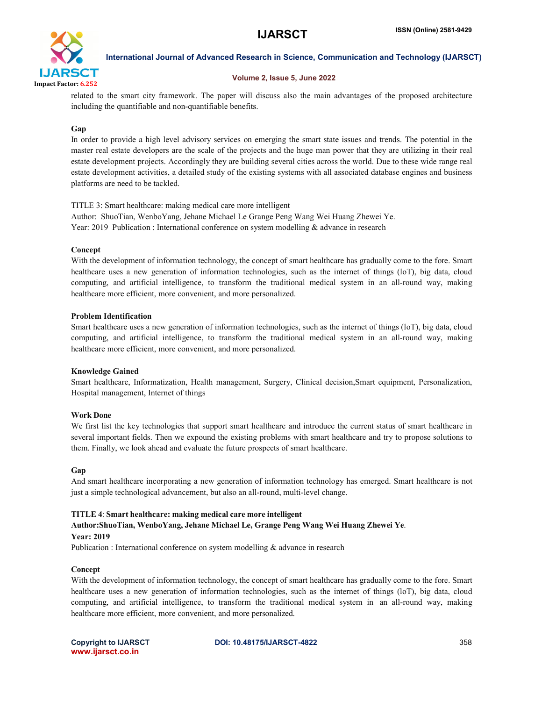

# Volume 2, Issue 5, June 2022

related to the smart city framework. The paper will discuss also the main advantages of the proposed architecture including the quantifiable and non-quantifiable benefits.

# Gap

In order to provide a high level advisory services on emerging the smart state issues and trends. The potential in the master real estate developers are the scale of the projects and the huge man power that they are utilizing in their real estate development projects. Accordingly they are building several cities across the world. Due to these wide range real estate development activities, a detailed study of the existing systems with all associated database engines and business platforms are need to be tackled.

TITLE 3: Smart healthcare: making medical care more intelligent Author: ShuoTian, WenboYang, Jehane Michael Le Grange Peng Wang Wei Huang Zhewei Ye. Year: 2019 Publication : International conference on system modelling & advance in research

# Concept

With the development of information technology, the concept of smart healthcare has gradually come to the fore. Smart healthcare uses a new generation of information technologies, such as the internet of things (loT), big data, cloud computing, and artificial intelligence, to transform the traditional medical system in an all-round way, making healthcare more efficient, more convenient, and more personalized.

# Problem Identification

Smart healthcare uses a new generation of information technologies, such as the internet of things (loT), big data, cloud computing, and artificial intelligence, to transform the traditional medical system in an all-round way, making healthcare more efficient, more convenient, and more personalized.

# Knowledge Gained

Smart healthcare, Informatization, Health management, Surgery, Clinical decision,Smart equipment, Personalization, Hospital management, Internet of things

# Work Done

We first list the key technologies that support smart healthcare and introduce the current status of smart healthcare in several important fields. Then we expound the existing problems with smart healthcare and try to propose solutions to them. Finally, we look ahead and evaluate the future prospects of smart healthcare.

# Gap

And smart healthcare incorporating a new generation of information technology has emerged. Smart healthcare is not just a simple technological advancement, but also an all-round, multi-level change.

# TITLE 4: Smart healthcare: making medical care more intelligent

# Author:ShuoTian, WenboYang, Jehane Michael Le, Grange Peng Wang Wei Huang Zhewei Ye.

# Year: 2019

Publication : International conference on system modelling & advance in research

# Concept

With the development of information technology, the concept of smart healthcare has gradually come to the fore. Smart healthcare uses a new generation of information technologies, such as the internet of things (loT), big data, cloud computing, and artificial intelligence, to transform the traditional medical system in an all-round way, making healthcare more efficient, more convenient, and more personalized.

www.ijarsct.co.in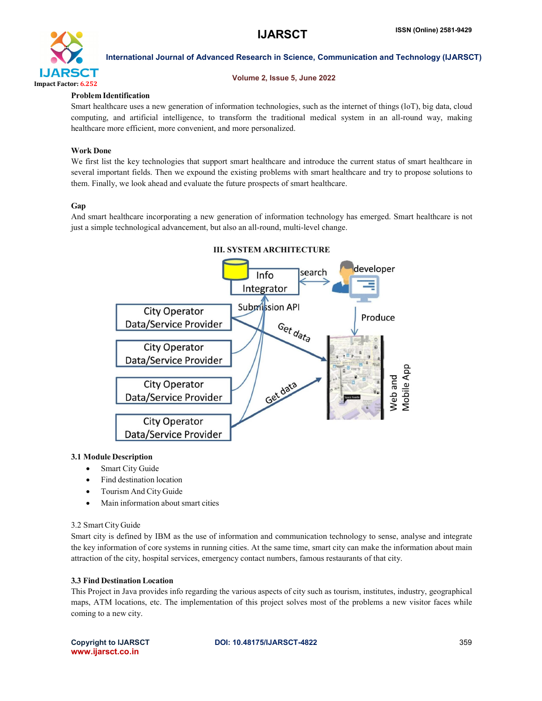

### Volume 2, Issue 5, June 2022

# Problem Identification

Smart healthcare uses a new generation of information technologies, such as the internet of things (loT), big data, cloud computing, and artificial intelligence, to transform the traditional medical system in an all-round way, making healthcare more efficient, more convenient, and more personalized.

# Work Done

We first list the key technologies that support smart healthcare and introduce the current status of smart healthcare in several important fields. Then we expound the existing problems with smart healthcare and try to propose solutions to them. Finally, we look ahead and evaluate the future prospects of smart healthcare.

# Gap

And smart healthcare incorporating a new generation of information technology has emerged. Smart healthcare is not just a simple technological advancement, but also an all-round, multi-level change.



# 3.1 Module Description

- Smart City Guide
- Find destination location
- Tourism And City Guide
- Main information about smart cities

# 3.2 Smart City Guide

Smart city is defined by IBM as the use of information and communication technology to sense, analyse and integrate the key information of core systems in running cities. At the same time, smart city can make the information about main attraction of the city, hospital services, emergency contact numbers, famous restaurants of that city.

# 3.3 Find Destination Location

This Project in Java provides info regarding the various aspects of city such as tourism, institutes, industry, geographical maps, ATM locations, etc. The implementation of this project solves most of the problems a new visitor faces while coming to a new city.

www.ijarsct.co.in

Copyright to IJARSCT DOI: 10.48175/IJARSCT-4822 **359**